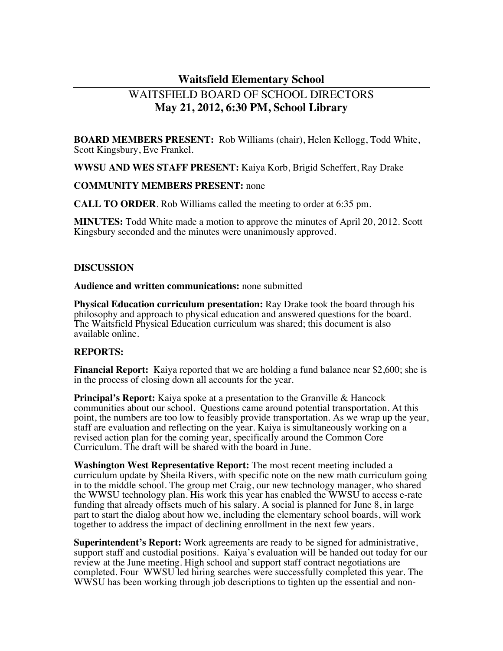# **Waitsfield Elementary School**

# WAITSFIELD BOARD OF SCHOOL DIRECTORS **May 21, 2012, 6:30 PM, School Library**

**BOARD MEMBERS PRESENT:** Rob Williams (chair), Helen Kellogg, Todd White, Scott Kingsbury, Eve Frankel.

**WWSU AND WES STAFF PRESENT:** Kaiya Korb, Brigid Scheffert, Ray Drake

#### **COMMUNITY MEMBERS PRESENT:** none

**CALL TO ORDER**. Rob Williams called the meeting to order at 6:35 pm.

**MINUTES:** Todd White made a motion to approve the minutes of April 20, 2012. Scott Kingsbury seconded and the minutes were unanimously approved.

#### **DISCUSSION**

**Audience and written communications:** none submitted

**Physical Education curriculum presentation:** Ray Drake took the board through his philosophy and approach to physical education and answered questions for the board. The Waitsfield Physical Education curriculum was shared; this document is also available online.

#### **REPORTS:**

**Financial Report:** Kaiya reported that we are holding a fund balance near \$2,600; she is in the process of closing down all accounts for the year.

**Principal's Report:** Kaiya spoke at a presentation to the Granville & Hancock communities about our school. Questions came around potential transportation. At this point, the numbers are too low to feasibly provide transportation. As we wrap up the year, staff are evaluation and reflecting on the year. Kaiya is simultaneously working on a revised action plan for the coming year, specifically around the Common Core Curriculum. The draft will be shared with the board in June.

**Washington West Representative Report:** The most recent meeting included a curriculum update by Sheila Rivers, with specific note on the new math curriculum going in to the middle school. The group met Craig, our new technology manager, who shared the WWSU technology plan. His work this year has enabled the WWSU to access e-rate funding that already offsets much of his salary. A social is planned for June 8, in large part to start the dialog about how we, including the elementary school boards, will work together to address the impact of declining enrollment in the next few years.

**Superintendent's Report:** Work agreements are ready to be signed for administrative, support staff and custodial positions. Kaiya's evaluation will be handed out today for our review at the June meeting. High school and support staff contract negotiations are completed. Four WWSU led hiring searches were successfully completed this year. The WWSU has been working through job descriptions to tighten up the essential and non